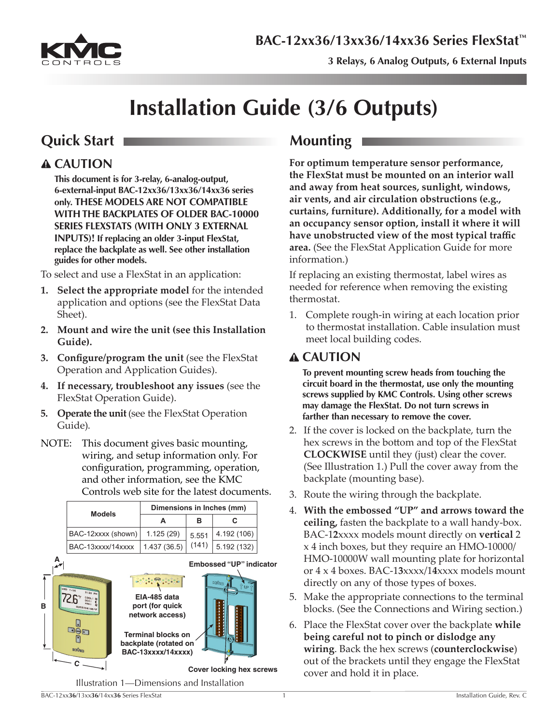

**3 Relays, 6 Analog Outputs, 6 External Inputs** 

# **Installation Guide (3/6 Outputs)**

## **Quick Start Mounting**

### **CAUTION**

**This document is for 3-relay, 6-analog-output, 6-external-input BAC-12xx36/13xx36/14xx36 series only. THESE MODELS ARE NOT COMPATIBLE WITH THE BACKPLATES OF OLDER BAC-10000 SERIES FLEXSTATS (WITH ONLY 3 EXTERNAL INPUTS)! If replacing an older 3-input FlexStat, replace the backplate as well. See other installation guides for other models.**

To select and use a FlexStat in an application:

- **1. Select the appropriate model** for the intended application and options (see the FlexStat Data Sheet).
- **2. Mount and wire the unit (see this Installation Guide).**
- **3. Configure/program the unit** (see the FlexStat Operation and Application Guides).
- **4. If necessary, troubleshoot any issues** (see the FlexStat Operation Guide).
- **5. Operate the unit** (see the FlexStat Operation Guide).
- NOTE: This document gives basic mounting, wiring, and setup information only. For configuration, programming, operation, and other information, see the KMC Controls web site for the latest documents.

|   |  |                     | Dimensions in Inches (mm)                                                                                                                                                               |       |                                                   |  |
|---|--|---------------------|-----------------------------------------------------------------------------------------------------------------------------------------------------------------------------------------|-------|---------------------------------------------------|--|
|   |  | <b>Models</b>       | A                                                                                                                                                                                       | в     | C                                                 |  |
|   |  | BAC-12xxxx (shown)  | 1.125(29)                                                                                                                                                                               | 5.551 | 4.192 (106)                                       |  |
|   |  | BAC-13xxxx/14xxxx   | 1.437 (36.5)                                                                                                                                                                            | (141) | 5.192 (132)                                       |  |
|   |  |                     |                                                                                                                                                                                         |       | <b>Embossed "UP" indicator</b>                    |  |
| в |  | aon<br><b>KIVID</b> | $\bullet$ , and $\bullet$ and $\bullet$ and $\bullet$<br>EIA-485 data<br>port (for quick<br>network access)<br><b>Terminal blocks on</b><br>backplate (rotated on<br>BAC-13xxxx/14xxxx) |       | <b>Barbara</b><br><b>Cover locking hex screws</b> |  |
|   |  |                     |                                                                                                                                                                                         |       |                                                   |  |
|   |  |                     | Illustration 1—Dimensions and Installation                                                                                                                                              |       |                                                   |  |

**For optimum temperature sensor performance, the FlexStat must be mounted on an interior wall and away from heat sources, sunlight, windows, air vents, and air circulation obstructions (e.g., curtains, furniture). Additionally, for a model with an occupancy sensor option, install it where it will have unobstructed view of the most typical traffic area.** (See the FlexStat Application Guide for more information.)

If replacing an existing thermostat, label wires as needed for reference when removing the existing thermostat.

1. Complete rough-in wiring at each location prior to thermostat installation. Cable insulation must meet local building codes.

### **CAUTION**

**To prevent mounting screw heads from touching the circuit board in the thermostat, use only the mounting screws supplied by KMC Controls. Using other screws may damage the FlexStat. Do not turn screws in farther than necessary to remove the cover.**

- 2. If the cover is locked on the backplate, turn the hex screws in the bottom and top of the FlexStat **CLOCKWISE** until they (just) clear the cover. (See Illustration 1.) Pull the cover away from the backplate (mounting base).
- 3. Route the wiring through the backplate.
- 4. **With the embossed "UP" and arrows toward the ceiling,** fasten the backplate to a wall handy-box. BAC-1**2**xxxx models mount directly on **vertical** 2 x 4 inch boxes, but they require an HMO-10000/ HMO-10000W wall mounting plate for horizontal or 4 x 4 boxes. BAC-1**3**xxxx/1**4**xxxx models mount directly on any of those types of boxes.
- 5. Make the appropriate connections to the terminal blocks. (See the Connections and Wiring section.)
- 6. Place the FlexStat cover over the backplate **while being careful not to pinch or dislodge any wiring**. Back the hex screws (**counterclockwise**) out of the brackets until they engage the FlexStat cover and hold it in place.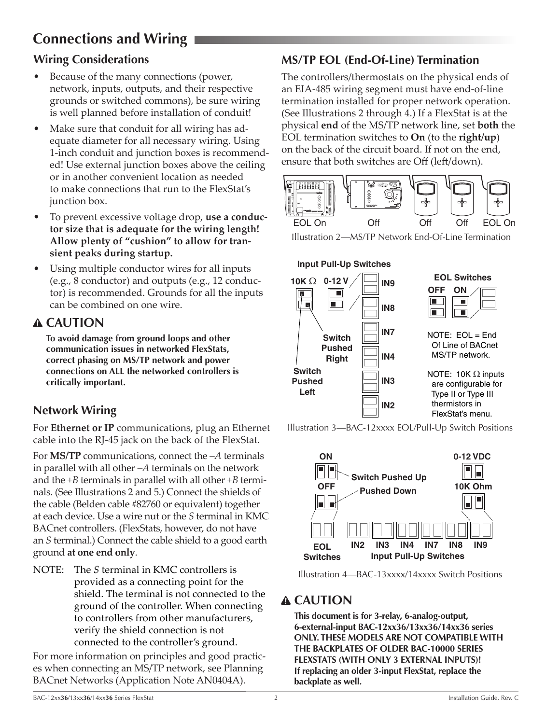# <span id="page-1-0"></span>**Connections and Wiring**

### **Wiring Considerations**

- Because of the many connections (power, network, inputs, outputs, and their respective grounds or switched commons), be sure wiring is well planned before installation of conduit!
- Make sure that conduit for all wiring has adequate diameter for all necessary wiring. Using 1-inch conduit and junction boxes is recommended! Use external junction boxes above the ceiling or in another convenient location as needed to make connections that run to the FlexStat's junction box.
- To prevent excessive voltage drop, **use a conductor size that is adequate for the wiring length! Allow plenty of "cushion" to allow for transient peaks during startup.**
- Using multiple conductor wires for all inputs (e.g., 8 conductor) and outputs (e.g., 12 conductor) is recommended. Grounds for all the inputs can be combined on one wire.

### **CAUTION**

**To avoid damage from ground loops and other communication issues in networked FlexStats, correct phasing on MS/TP network and power connections on ALL the networked controllers is critically important.**

### **Network Wiring**

For **Ethernet or IP** communications, plug an Ethernet cable into the RJ-45 jack on the back of the FlexStat.

For **MS/TP** communications, connect the *–A* terminals in parallel with all other *–A* terminals on the network and the *+B* terminals in parallel with all other *+B* terminals. (See Illustrations 2 and 5.) Connect the shields of the cable (Belden cable #82760 or equivalent) together at each device. Use a wire nut or the *S* terminal in KMC BACnet controllers. (FlexStats, however, do not have an *S* terminal.) Connect the cable shield to a good earth ground **at one end only**.

NOTE: The *S* terminal in KMC controllers is provided as a connecting point for the shield. The terminal is not connected to the ground of the controller. When connecting to controllers from other manufacturers, verify the shield connection is not connected to the controller's ground.

For more information on principles and good practices when connecting an MS/TP network, see Planning BACnet Networks (Application Note AN0404A).

### **MS/TP EOL (End-Of-Line) Termination**

The controllers/thermostats on the physical ends of an EIA-485 wiring segment must have end-of-line termination installed for proper network operation. (See Illustrations 2 through 4.) If a FlexStat is at the physical **end** of the MS/TP network line, set **both** the EOL termination switches to **On** (to the **right/up**) on the back of the circuit board. If not on the end, ensure that both switches are Off (left/down).



Illustration 2—MS/TP Network End-Of-Line Termination



Illustration 3—BAC-12xxxx EOL/Pull-Up Switch Positions





### **CAUTION**

**This document is for 3-relay, 6-analog-output, 6-external-input BAC-12xx36/13xx36/14xx36 series ONLY. THESE MODELS ARE NOT COMPATIBLE WITH THE BACKPLATES OF OLDER BAC-10000 SERIES FLEXSTATS (WITH ONLY 3 EXTERNAL INPUTS)! If replacing an older 3-input FlexStat, replace the backplate as well.**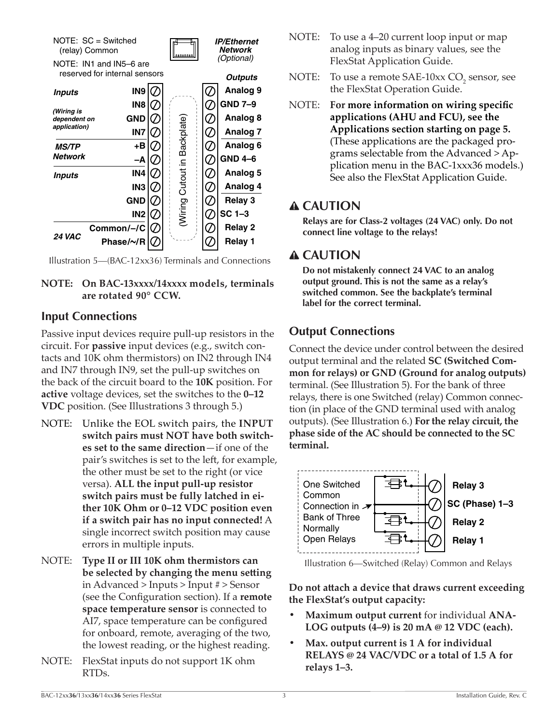<span id="page-2-0"></span>



#### **NOTE: On BAC-13xxxx/14xxxx models, terminals are rotated 90° CCW.**

#### **Input Connections**

Passive input devices require pull-up resistors in the circuit. For **passive** input devices (e.g., switch contacts and 10K ohm thermistors) on IN2 through IN4 and IN7 through IN9, set the pull-up switches on the back of the circuit board to the **10K** position. For **active** voltage devices, set the switches to the **0–12 VDC** position. (See Illustrations 3 through 5.)

- NOTE: Unlike the EOL switch pairs, the **INPUT switch pairs must NOT have both switches set to the same direction**—if one of the pair's switches is set to the left, for example, the other must be set to the right (or vice versa). **ALL the input pull-up resistor switch pairs must be fully latched in either 10K Ohm or 0–12 VDC position even if a switch pair has no input connected!** A single incorrect switch position may cause errors in multiple inputs.
- NOTE: **Type II or III 10K ohm thermistors can be selected by changing the menu setting** in Advanced > Inputs > Input # > Sensor (see the Configuration section). If a **remote space temperature sensor** is connected to AI7, space temperature can be configured for onboard, remote, averaging of the two, the lowest reading, or the highest reading.
- NOTE: FlexStat inputs do not support 1K ohm RTDs.
- NOTE: To use a 4–20 current loop input or map analog inputs as binary values, see the FlexStat Application Guide.
- NOTE: To use a remote  $SAE-10xx CO$ <sub>2</sub> sensor, see the FlexStat Operation Guide.
- NOTE: **For more information on wiring specific applications (AHU and FCU), see the Applications section starting on page 5.** (These applications are the packaged programs selectable from the Advanced > Application menu in the BAC-1xxx36 models.) See also the FlexStat Application Guide.

### **CAUTION**

**Relays are for Class-2 voltages (24 VAC) only. Do not connect line voltage to the relays!**

### **CAUTION**

**Do not mistakenly connect 24 VAC to an analog output ground. This is not the same as a relay's switched common. See the backplate's terminal label for the correct terminal.**

### **Output Connections**

Connect the device under control between the desired output terminal and the related **SC (Switched Common for relays) or GND (Ground for analog outputs)** terminal. (See Illustration 5). For the bank of three relays, there is one Switched (relay) Common connection (in place of the GND terminal used with analog outputs). (See Illustration 6.) **For the relay circuit, the phase side of the AC should be connected to the SC terminal.**



Illustration 6—Switched (Relay) Common and Relays

**Do not attach a device that draws current exceeding the FlexStat's output capacity:**

- **Maximum output current** for individual **ANA-LOG outputs (4–9) is 20 mA @ 12 VDC (each).**
- **• Max. output current is 1 A for individual RELAYS @ 24 VAC/VDC or a total of 1.5 A for relays 1–3.**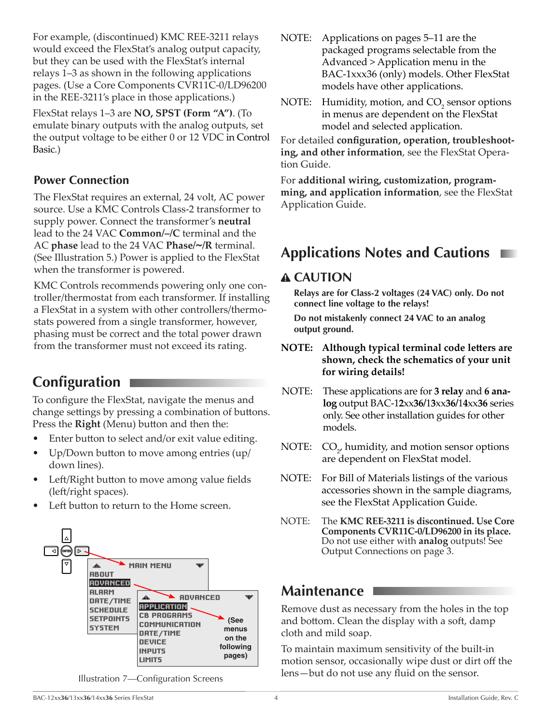<span id="page-3-0"></span>For example, (discontinued) KMC REE-3211 relays would exceed the FlexStat's analog output capacity, but they can be used with the FlexStat's internal relays 1–3 as shown in the following applications pages. (Use a Core Components CVR11C-0/LD96200 in the REE-3211's place in those applications.)

FlexStat relays 1–3 are **NO, SPST (Form "A")**. (To emulate binary outputs with the analog outputs, set the output voltage to be either 0 or 12 VDC in Control Basic.)

#### **Power Connection**

The FlexStat requires an external, 24 volt, AC power source. Use a KMC Controls Class-2 transformer to supply power. Connect the transformer's **neutral** lead to the 24 VAC **Common/–/C** terminal and the AC **phase** lead to the 24 VAC **Phase/~/R** terminal. (See Illustration 5.) Power is applied to the FlexStat when the transformer is powered.

KMC Controls recommends powering only one controller/thermostat from each transformer. If installing a FlexStat in a system with other controllers/thermostats powered from a single transformer, however, phasing must be correct and the total power drawn from the transformer must not exceed its rating.

# **Configuration**

To configure the FlexStat, navigate the menus and change settings by pressing a combination of buttons. Press the **Right** (Menu) button and then the:

- Enter button to select and/or exit value editing.
- Up/Down button to move among entries (up/ down lines).
- Left/Right button to move among value fields (left/right spaces).
- Left button to return to the Home screen.



Illustration 7—Configuration Screens

- NOTE: Applications on pages 5–11 are the packaged programs selectable from the Advanced > Application menu in the BAC-1xxx36 (only) models. Other FlexStat models have other applications.
- NOTE: Humidity, motion, and  $CO_2$  sensor options in menus are dependent on the FlexStat model and selected application.

For detailed **configuration, operation, troubleshooting, and other information**, see the FlexStat Operation Guide.

For **additional wiring, customization, programming, and application information**, see the FlexStat Application Guide.

## **Applications Notes and Cautions**

### **CAUTION**

**Relays are for Class-2 voltages (24 VAC) only. Do not connect line voltage to the relays!**

**Do not mistakenly connect 24 VAC to an analog output ground.**

- **NOTE: Although typical terminal code letters are shown, check the schematics of your unit for wiring details!**
- NOTE: These applications are for **3 relay** and **6 analog** output BAC-1**2**xx**36/**1**3**xx**36/**1**4**xx**36** series only. See other installation guides for other models.
- NOTE:  $CO<sub>2</sub>$ , humidity, and motion sensor options are dependent on FlexStat model.
- NOTE: For Bill of Materials listings of the various accessories shown in the sample diagrams, see the FlexStat Application Guide.
- NOTE: The **KMC REE-3211 is discontinued. Use Core Components CVR11C-0/LD96200 in its place.** Do not use either with **analog** outputs! See Output Connections on page 3.

### **Maintenance**

Remove dust as necessary from the holes in the top and bottom. Clean the display with a soft, damp cloth and mild soap.

To maintain maximum sensitivity of the built-in motion sensor, occasionally wipe dust or dirt off the lens—but do not use any fluid on the sensor.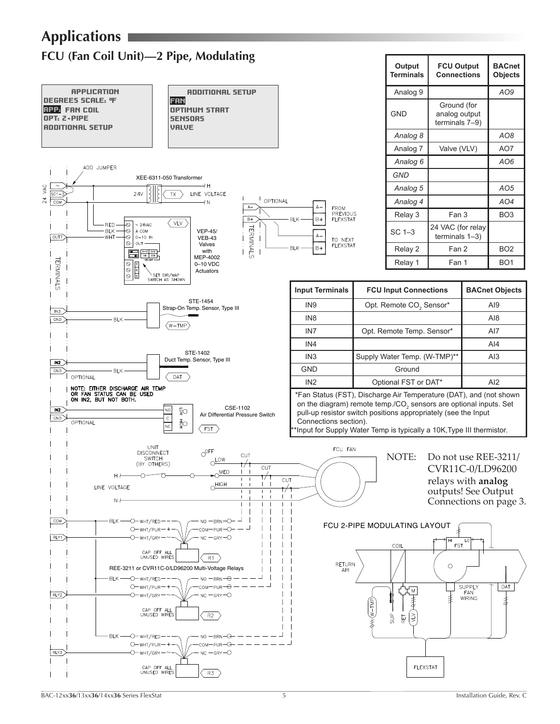<span id="page-4-0"></span>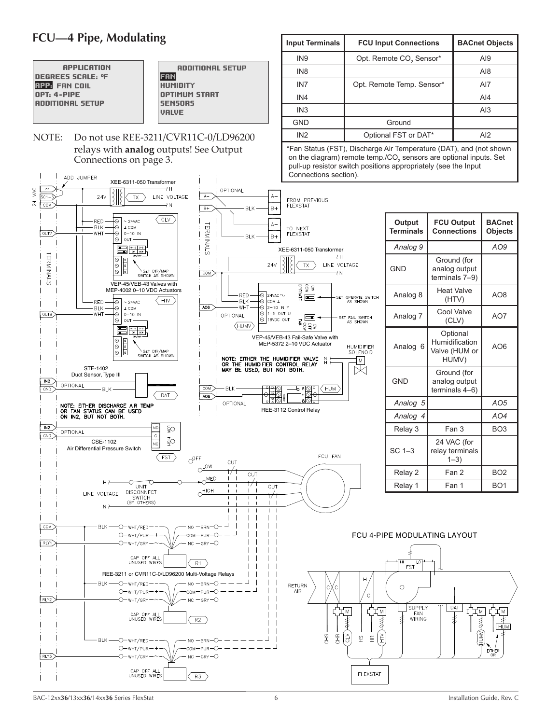### <span id="page-5-0"></span>**FCU—4 Pipe, Modulating**

![](_page_5_Figure_1.jpeg)

| <b>Input Terminals</b>                    | <b>FCU Input Connections</b>        | <b>BACnet Objects</b> |  |
|-------------------------------------------|-------------------------------------|-----------------------|--|
| IN <sub>9</sub>                           | Opt. Remote CO <sub>2</sub> Sensor* | AI9                   |  |
| IN <sub>8</sub>                           |                                     | A18                   |  |
| IN <sub>7</sub>                           | Opt. Remote Temp. Sensor*           | AI7                   |  |
| IN4                                       |                                     | AI4                   |  |
| IN <sub>3</sub>                           |                                     | AI3                   |  |
| <b>GND</b>                                | Ground                              |                       |  |
| IN <sub>2</sub>                           | Optional FST or DAT*                | AI2                   |  |
| $\sim$ $\sim$ $\sim$ $\sim$ $\sim$ $\sim$ |                                     |                       |  |

 \*Fan Status (FST), Discharge Air Temperature (DAT), and (not shown on the diagram) remote temp./CO<sub>2</sub> sensors are optional inputs. Set pull-up resistor switch positions appropriately (see the Input Connections section).

![](_page_5_Figure_4.jpeg)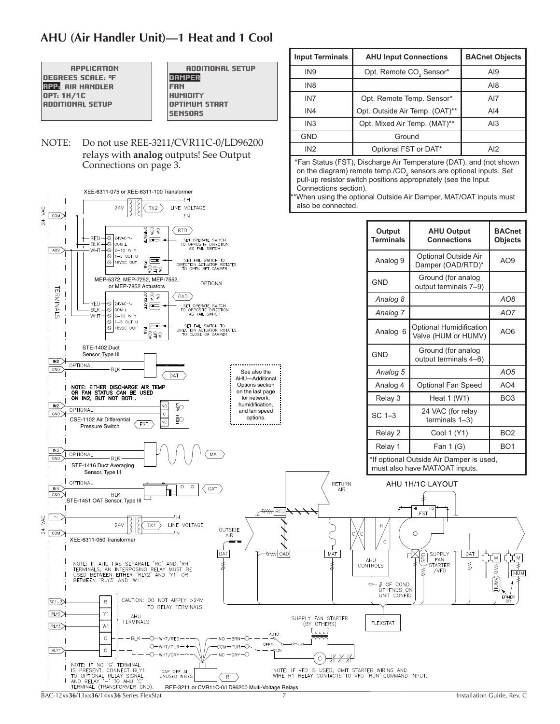### <span id="page-6-0"></span>**AHU (Air Handler Unit)—1 Heat and 1 Cool**

| <b>APPLICATION</b>      |
|-------------------------|
| DEGREES SCALE: ºF       |
| <b>RPP</b> AIR HANDLER  |
| OPT: 1H/1C              |
| <b>ADDITIONAL SETUP</b> |
|                         |

 ADDITIONAL SETUP DAMPER FAN HUMIDITY OPTIMUM START **SENSORS** 

NOTE: Do not use REE-3211/CVR11C-0/LD96200 relays with **analog** outputs! See Output Connections on page 3.

|                 | Connections section).<br>XEE-6311-075 or XEE-6311-100 Transformer<br>÷н                                                                                                                                     |                                           | *When using the optional Outside Air Damper, MAT/OAT inputs must           |                                                                                     |
|-----------------|-------------------------------------------------------------------------------------------------------------------------------------------------------------------------------------------------------------|-------------------------------------------|----------------------------------------------------------------------------|-------------------------------------------------------------------------------------|
| VAC             | also be connected.<br>24V<br>TX2<br>LINE VOLTAGE<br><b>COM</b><br>⊣N                                                                                                                                        |                                           |                                                                            |                                                                                     |
| $\overline{24}$ | OPERATE<br>CS<br>୧<br><b>RTD</b><br>$+\otimes$ 24VaC $\sim$<br>-RED<br>$\blacksquare$<br>SET OPERATE SWITCH<br>TO OPPOSITE DIRECTION<br><b>BLK</b><br>├∾  сом ⊥                                             | Output<br>Terminals                       | <b>AHU Output</b><br><b>Connections</b>                                    | <b>BACn</b><br><b>Object</b>                                                        |
|                 | AS FAIL SWITCH<br>ю.<br>2-10 IN Y<br>WHT<br>AO9<br>$\bigcirc$ 1-5 OUT U<br>SET FAIL SWITCH TO<br>DIRECTION ACTUATOR ROTATES<br>TO OPEN RET DAMPER<br>$\Box$<br>$\bigcirc$ 18VDC OUT<br>FAIL<br>ਨੂੰ ਤੋਂ ਤੋਂ  | Analog 9                                  | Optional Outside Air<br>Damper (OAD/RTD)*                                  | AO <sub>9</sub>                                                                     |
|                 | MEP-5372, MEP-7252, MEP-7552,<br>OPTIONAL<br>or MEP-7852 Actuators                                                                                                                                          | <b>GND</b>                                | Ground (for analog<br>output terminals 7-9)                                |                                                                                     |
|                 | DPERATE<br>CCW<br>VC<br>OAD<br>$\cdot$ RED $\rightarrow$ 24vac $\sim$                                                                                                                                       | Analog 8                                  |                                                                            | AO <sub>8</sub>                                                                     |
|                 | <b>TERMINALS</b><br>$\blacksquare$<br>SET OPERATE SWITCH<br>TO OPPOSITE DIRECTION<br>AS FAIL SWITCH<br><b>BLK</b><br>†⊘∣сом т<br>$\odot$ 2-10 in y<br>WHT                                                   | Analog 7                                  |                                                                            | AO7                                                                                 |
|                 | $\circ$<br>$1-5$ OUT U<br>SET FAIL SWITCH TO<br>$\Box$<br>$\bigcirc$ 18VDC OUT<br>FAIL<br>DIRECTION ACTUATOR ROTATES<br>ੂੰ ਜ੍ਰੈ ੂ<br>TO CLOSE OA DAMPER                                                     | Analog 6                                  | Optional Humidification<br>Valve (HUM or HUMV)                             | AO <sub>6</sub>                                                                     |
|                 | STE-1402 Duct<br>Sensor, Type III<br>IN2                                                                                                                                                                    | GND                                       | Ground (for analog<br>output terminals 4-6)                                |                                                                                     |
|                 | OPTIONAL<br>GND<br><b>BLK</b><br>See also the<br>DAT<br>AHU-Additional                                                                                                                                      | Analog 5                                  |                                                                            | AO <sub>5</sub>                                                                     |
|                 | Options section<br>NOTE: EITHER DISCHARGE AIR TEMP                                                                                                                                                          | Analog 4                                  | Optional Fan Speed                                                         | AO <sub>4</sub>                                                                     |
|                 | OR FAN STATUS CAN BE USED<br>on the last page<br>ON IN2, BUT NOT BOTH.<br>for network,<br>humidification,                                                                                                   | Relay 3                                   | Heat 1 (W1)                                                                | BO <sub>3</sub>                                                                     |
|                 | NO<br>IN2<br>ξŌ<br>OPTIONAL<br>and fan speed<br>$\mathsf{c}$<br>GND<br>φĘ<br>options.<br>CSE-1102 Air Differential<br>NC<br><b>FST</b>                                                                      | $SC1-3$                                   | 24 VAC (for relay<br>terminals $1-3$ )                                     |                                                                                     |
|                 | Pressure Switch                                                                                                                                                                                             | Relay 2                                   | Cool 1 (Y1)                                                                | BO <sub>2</sub>                                                                     |
|                 | IN3                                                                                                                                                                                                         | Relay 1                                   | Fan $1(G)$                                                                 | BO <sub>1</sub>                                                                     |
|                 | OPTIONAL<br>MAT<br>GND<br><b>BLK</b><br>STE-1416 Duct Averaging<br>Sensor, Type III                                                                                                                         |                                           | *If optional Outside Air Damper is used,<br>must also have MAT/OAT inputs. |                                                                                     |
|                 | OPTIONAL<br>RETURN<br>$\circ$<br>$\circ$                                                                                                                                                                    |                                           | AHU 1H/1C LAYOUT                                                           |                                                                                     |
|                 | OAT<br>IN4<br>AIR<br><b>BLK</b><br>GND                                                                                                                                                                      |                                           |                                                                            |                                                                                     |
|                 | STE-1451 OAT Sensor, Type III<br>$\frac{1}{\sqrt{1+\beta}}$ RTD                                                                                                                                             |                                           | LO<br>FST                                                                  |                                                                                     |
| <b>SKA</b>      | ₹Н<br>$\sim$<br>LINE VOLTAGE<br>24V<br>TX1                                                                                                                                                                  | н                                         |                                                                            |                                                                                     |
| 24              | OUTSIDE<br><b>COM</b><br>₹N<br>AIR<br>XEE-6311-050 Transformer                                                                                                                                              | C                                         | $\circ$                                                                    |                                                                                     |
|                 | $\overline{\theta}$ OAD<br>MAT<br>OAT<br>≴<br>NOTE: IF AHU HAS SEPARATE 'RC' AND 'RH'<br>ŧ<br>TERMINALS, AN INTERPOSING RELAY MUST BE<br>USED BETWEEN EITHER 'RLY2' AND 'Y1' OR<br>BETWEEN 'RLY3' AND 'W1'. | AHU<br>CONTROLS<br>OF COND.<br>DEPENDS ON | SUPPLY<br>DAT<br>GaS<br>C<br>FAN<br>ŧ<br><b>STARTER</b><br>/VFD            | M<br>孝<br>$\begin{matrix} \widehat{\mathbb{R}} \ \widehat{\mathbb{R}} \end{matrix}$ |
|                 | CAUTION: DO NOT APPLY >24V<br>$ SC1 - 3\rangle$<br>R<br>TO RELAY TERMINALS                                                                                                                                  | UNIT CONFIG.                              |                                                                            | EITHER<br>OR                                                                        |
|                 | RLY2<br>Y1<br>AHU<br>SUPPLY FAN STARTER<br><b>TERMINALS</b>                                                                                                                                                 |                                           |                                                                            |                                                                                     |
|                 | (BY OTHERS)<br>W <sub>1</sub><br>RLY3<br>AUTO                                                                                                                                                               | <b>FLEXSTAT</b>                           |                                                                            |                                                                                     |
|                 | $\mathbb C$<br>- - BLK - - O- wht/red - -<br>$NO$ $-BRN$ <sup><math>\bigcirc</math></sup><br>OFF O<br>O-WHT/PUR-<br>сом—рик—О                                                                               |                                           |                                                                            |                                                                                     |
|                 | G<br>RLY1<br>$-9$ ON<br>$-$ O $-$ WHT/GRY $ \sim$<br>$NC - GRY - O$<br>C                                                                                                                                    |                                           |                                                                            |                                                                                     |
|                 | NOTE: IF NO 'G' TERMINAL<br>IS PRESENT, CONNECT RLY1<br>NOTE: IF VFD IS USED, OMIT STARTER WIRING AND<br>CAP OFF ALL<br>WIRE R1 RELAY CONTACTS TO VFD 'RUN' COMMAND INPUT.<br>UNUSED WIRES                  |                                           |                                                                            |                                                                                     |
|                 | TO OPTIONAL RELAY SIGNAL<br>AND RELAY '-' TO AHU 'C'<br>R1<br>TERMINAL (TRANSFORMER GND).<br>REE-3211 or CVR11C-0/LD96200 Multi-Voltage Relays                                                              |                                           |                                                                            |                                                                                     |

**Input Terminals AHU Input Connections BACnet Objects**  $\vert$  IN9  $\vert$  Opt. Remote CO<sub>2</sub> Sensor\*  $\vert$  AI9 IN8 | AI8 IN7 | Opt. Remote Temp. Sensor\* | AI7 IN4 Opt. Outside Air Temp. (OAT)\*\* | AI4 IN3 Opt. Mixed Air Temp. (MAT)\*\* | AI3 GND Ground IN2 **Optional FST or DAT<sup>\*</sup>** AI2

 \*Fan Status (FST), Discharge Air Temperature (DAT), and (not shown on the diagram) remote temp./CO<sub>2</sub> sensors are optional inputs. Set pull-up resistor switch positions appropriately (see the Input

BAC-12xx**36**/13xx**36**/14xx**36** Series FlexStat 7 Installation Guide, Rev. C

REE-3211 or CVR11C-0/LD96200 Multi-Voltage Relays

**BACnet Objects**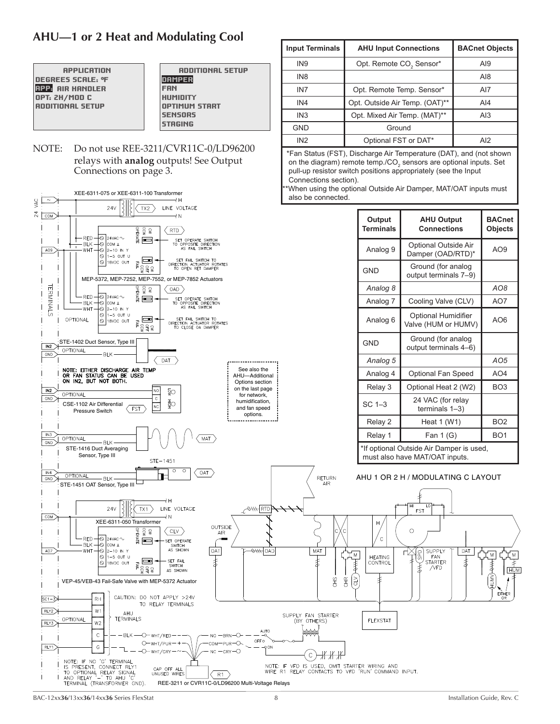### <span id="page-7-0"></span>**AHU—1 or 2 Heat and Modulating Cool**

**APPLICATION** DEGREES SCALE: °F APP: AIR HANDLER OPT: 2H/MOD C ADDITIONAL SETUP

 ADDITIONAL SETUP DAMPER FAN HUMIDITY OPTIMUM START **SENSORS STAGING** 

#### NOTE: Do not use REE-3211/CVR11C-0/LD96200 relays with **analog** outputs! See Output Connections on page 3.

![](_page_7_Figure_4.jpeg)

**Input Terminals AHU Input Connections BACnet Objects**

 $\blacksquare$  Opt. Remote CO<sub>2</sub> Sensor\*  $\blacksquare$  AI9 IN8 AI8 IN7 | Opt. Remote Temp. Sensor\* | AI7 IN4 Opt. Outside Air Temp. (OAT)\*\* | AI4 IN3 Opt. Mixed Air Temp. (MAT)\*\* | AI3

 IN2 Optional FST or DAT\* AI2 \*Fan Status (FST), Discharge Air Temperature (DAT), and (not shown on the diagram) remote temp./CO<sub>2</sub> sensors are optional inputs. Set pull-up resistor switch positions appropriately (see the Input

GND | Ground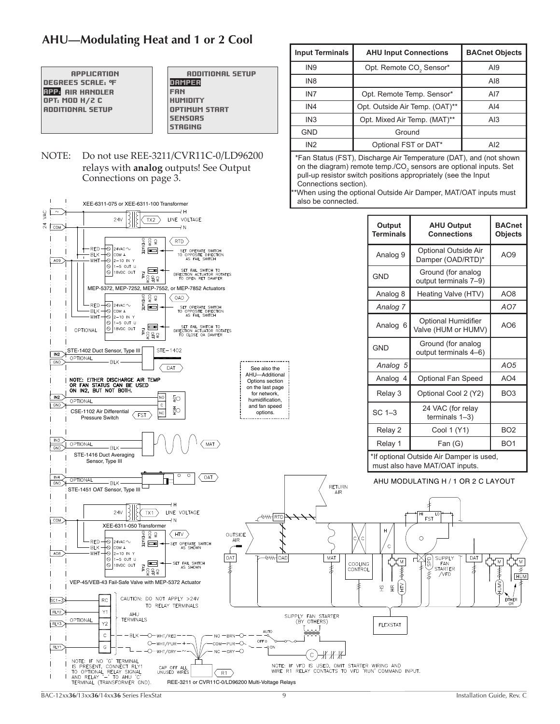### <span id="page-8-0"></span>**AHU—Modulating Heat and 1 or 2 Cool**

 APPLICATION DEGREES SCALE: °F **RPP:** AIR HANDLER OPT: MOD H/2 C ADDITIONAL SETUP

#### ADDITIONAL SETUP **DAMPER** FAN HUMIDITY OPTIMUM START **SENSORS STRGING**

NOTE: Do not use REE-3211/CVR11C-0/LD96200 relays with **analog** outputs! See Output Connections on page 3.

| XEE-6311-075 or XEE-6311-100 Transformer                                                                                                                                                                                                       | also be connected.                                                                                  |                                                                      | **When using the optional Outside Air Damper, MAT/OAT inputs must          |                                 |
|------------------------------------------------------------------------------------------------------------------------------------------------------------------------------------------------------------------------------------------------|-----------------------------------------------------------------------------------------------------|----------------------------------------------------------------------|----------------------------------------------------------------------------|---------------------------------|
| łН<br><b>SKA</b><br>$\sim$<br>LINE VOLTAGE<br>24V<br>TX <sub>2</sub><br>$^{\rm 24}$<br>COM<br>₹N                                                                                                                                               |                                                                                                     | Output<br><b>Terminals</b>                                           | <b>AHU Output</b><br><b>Connections</b>                                    | <b>BACnet</b><br><b>Objects</b> |
| CW<br>KO<br>PERATE<br><b>RTD</b><br>$+\otimes$ 24VAC $\sim$<br>-RED-<br>$\blacksquare$<br>SET OPERATE SWITCH<br>TO OPPOSITE DIRECTION<br>AS FAIL SWITCH<br><b>BLK</b><br>├⊝  сом ⊥<br>AO <sub>9</sub><br>WHT<br>$\overline{\otimes}$ 2–10 in y |                                                                                                     | Analog 9                                                             | Optional Outside Air<br>Damper (OAD/RTD)*                                  | AO <sub>9</sub>                 |
| $\bigcirc$ 1-5 OUT U<br>SET FAIL SWITCH TO<br>DIRECTION ACTUATOR ROTATES<br>TO OPEN RET DAMPER<br>$\blacksquare$<br>$\odot$ 18VDC OUT<br>EALL<br>유오<br>ş                                                                                       |                                                                                                     | <b>GND</b>                                                           | Ground (for analog<br>output terminals 7-9)                                |                                 |
| MEP-5372, MEP-7252, MEP-7552, or MEP-7852 Actuators<br>OAD                                                                                                                                                                                     |                                                                                                     | Analog 8                                                             | Heating Valve (HTV)                                                        | AO <sub>8</sub>                 |
| <b>EXAMEL</b><br>RED-<br>$\mathbin{\uparrow}$ 24 vac $\sim$<br>SET OPERATE SWITCH<br>TO OPPOSITE DIRECTION<br>AS FAIL SWITCH<br><b>BLK</b><br>-⊘ cow ⊤                                                                                         |                                                                                                     | Analog 7                                                             |                                                                            | AO7                             |
| WHT<br>$-$ O 2-10 IN Y<br>$\bigcirc$ 1-5 out u<br>na de<br>Honga<br>Honga<br>SET FAIL SWITCH TO<br>DIRECTION ACTUATOR ROTATES<br>$\bigcirc$ 18VDC OUT<br>OPTIONAL<br>TO CLOSE OA DAMPER                                                        |                                                                                                     | Analog 6                                                             | Optional Humidifier<br>Valve (HUM or HUMV)                                 | AO <sub>6</sub>                 |
| STE-1402<br>STE-1402 Duct Sensor, Type III<br>IN <sub>2</sub><br><b>OPTIONAL</b>                                                                                                                                                               |                                                                                                     | <b>GND</b>                                                           | Ground (for analog<br>output terminals 4-6)                                |                                 |
| GND<br>BLK-<br>DAT<br>See also the                                                                                                                                                                                                             |                                                                                                     | Analog 5                                                             |                                                                            | AO <sub>5</sub>                 |
| AHU-Additional<br>NOTE: EITHER DISCHARGE AIR TEMP<br>Options section<br>OR FAN STATUS CAN BE USED                                                                                                                                              |                                                                                                     | Analog 4                                                             | Optional Fan Speed                                                         | AO4                             |
| on the last page<br>ON IN2, BUT NOT BOTH.<br>for network,<br>IN2<br>NO<br>ŞO<br>humidification,                                                                                                                                                |                                                                                                     | Relay 3                                                              | Optional Cool 2 (Y2)                                                       | BO <sub>3</sub>                 |
| OPTIONAL<br>GND<br>$\mathbb{C}$<br>and fan speed<br>φĘ<br>CSE-1102 Air Differential<br>NC<br>options.<br><b>FST</b><br><b>Pressure Switch</b>                                                                                                  |                                                                                                     | $SC1-3$                                                              | 24 VAC (for relay<br>terminals $1-3$ )                                     |                                 |
|                                                                                                                                                                                                                                                |                                                                                                     | Relay 2                                                              | Cool 1 (Y1)                                                                | BO <sub>2</sub>                 |
| IN3<br>MAT<br>OPTIONAL<br>GND<br><b>BLK</b>                                                                                                                                                                                                    |                                                                                                     | Relay 1                                                              | Fan(G)                                                                     | BO <sub>1</sub>                 |
| STE-1416 Duct Averaging<br>Sensor, Type III                                                                                                                                                                                                    |                                                                                                     |                                                                      | *If optional Outside Air Damper is used,<br>must also have MAT/OAT inputs. |                                 |
| O<br>$\circ$<br>OAT<br>IN4<br>OPTIONAL<br>GND<br><b>BLK</b><br>STE-1451 OAT Sensor, Type III                                                                                                                                                   | <b>RETURN</b><br>AIR                                                                                |                                                                      | AHU MODULATING H / 1 OR 2 C LAYOUT                                         |                                 |
| łН<br>LINE VOLTAGE<br>24V<br>TX1<br>∕ <del>o\\\ </del> RTD∲<br>COM<br>₹N                                                                                                                                                                       |                                                                                                     |                                                                      | HI<br>LO<br><b>FST</b>                                                     |                                 |
| XEE-6311-050 Transformer<br>PERATE<br>CCW<br>VC<br>HTV<br>OUTSIDE<br>AIR<br>$\cdot$ RED $\rightarrow$ 24vac $\sim$<br>$\Box$<br>SET OPERATE SWITCH<br>├⊗  сом ⊥<br><b>BLK</b><br>AS SHOWN<br>WHT<br>H⊙ 2–10 in y<br>AO8                        |                                                                                                     | Н<br>$\mathbf C$                                                     | O                                                                          |                                 |
| $\overline{\theta}$ OAD<br>OAT<br>$\bigcirc$ 1-5 out u<br>SET FAIL SWITCH<br>œ<br>$\bigcirc$ 18VDC OUT<br>FAIL<br>AS SHOWN<br>ŧ<br>្ទ្រីម៉ូខ្<br>VEP-45/VEB-43 Fail-Safe Valve with MEP-5372 Actuator                                          | MAT<br>COOLING<br>ŧ<br>CONTROL                                                                      | Ιм<br>]<br>\$<br>$\geq$<br>$\frac{\omega}{\pm}$<br>$\widetilde{\pm}$ | SUPPLY<br>DAT<br>GaS<br>FAN<br>ŧ<br>STARTER<br>ま<br>/VFD                   | , Μ<br>Ξм<br>HHONOH<br>了<br>呼   |
| CAUTION: DO NOT APPLY >24V<br>$SC1 - 3$<br>TO RELAY TERMINALS                                                                                                                                                                                  |                                                                                                     |                                                                      |                                                                            | Eľ<br>HER<br>OR                 |
| Y1<br>RLY2<br>AHU<br>TERMINALS<br>OPTIONAL<br>Υ2<br>RLY3                                                                                                                                                                                       | SUPPLY FAN STARTER<br>(BY OTHERS)                                                                   | <b>FLEXSTAT</b>                                                      |                                                                            |                                 |
| AUTO<br>$\mathsf{C}$<br>-BLK -O-WHT/RED-<br>no — brn—O<br>OFF O<br>$O$ -wht/pur-+<br>сом—рик—О<br>RLY1<br>G<br>$\rightarrow$ ON                                                                                                                |                                                                                                     |                                                                      |                                                                            |                                 |
| $-$ O $-$ WHT/GRY $-$<br>$NC - GRY - O$<br>NOTE: IF NO 'G' TERMINAL                                                                                                                                                                            | C<br>11 1 1                                                                                         |                                                                      |                                                                            |                                 |
| IS PRESENT, CONNECT RLY1<br>CAP OFF ALL<br>UNUSED WIRES<br>TO OPTIONAL RELAY SIGNAL<br>AND RELAY '- TO AHU 'C'<br>R1<br>TERMINAL (TRANSFORMER GND).<br>REE-3211 or CVR11C-0/LD96200 Multi-Voltage Relays                                       | NOTE: IF VFD IS USED, OMIT STARTER WIRING AND<br>WIRE R1 RELAY CONTACTS TO VFD 'RUN' COMMAND INPUT. |                                                                      |                                                                            |                                 |

**Input Terminals AHU Input Connections BACnet Objects**

 $\blacksquare$  IN9  $\blacksquare$  Opt. Remote CO<sub>2</sub> Sensor\*  $\blacksquare$  AI9 IN8 AI8 IN7 Opt. Remote Temp. Sensor\* | AI7 IN4 Opt. Outside Air Temp. (OAT)\*\* | AI4 IN3 Opt. Mixed Air Temp. (MAT)\*\* | AI3

 IN2 Optional FST or DAT\* AI2 \*Fan Status (FST), Discharge Air Temperature (DAT), and (not shown on the diagram) remote temp./ $CO<sub>2</sub>$  sensors are optional inputs. Set pull-up resistor switch positions appropriately (see the Input

GND Ground

Connections section).

BAC-12xx**36**/13xx**36**/14xx**36** Series FlexStat 9 Installation Guide, Rev. C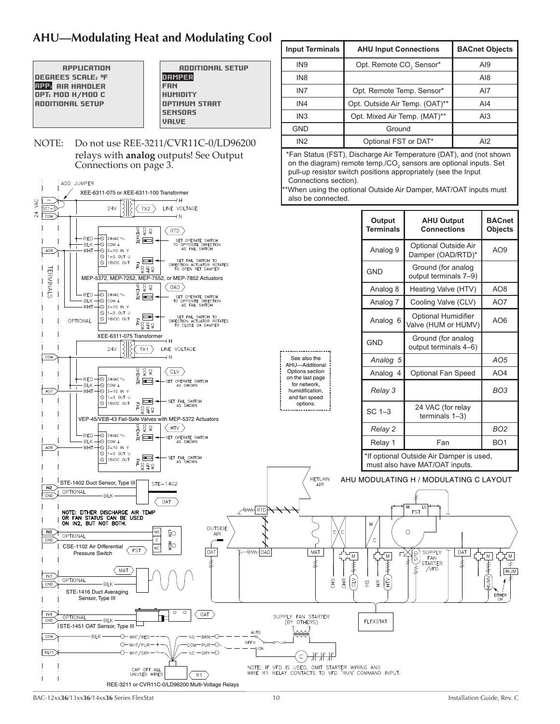### <span id="page-9-0"></span>**AHU—Modulating Heat and Modulating Cool**

| <b>APPLICATION</b>      |
|-------------------------|
| DEGREES SCRLE: ºF       |
| <b>RPP: AIR HANDLER</b> |
| OPT: MOD H/MOD C        |
| <b>RODITIONAL SETUP</b> |
|                         |

 ADDITIONAL SETUP DAMPER FAN HUMIDITY OPTIMUM START **SENSORS** VALVE

NOTE: Do not use REE-3211/CVR11C-0/LD96200 relays with **analog** outputs! See Output Connections on page 3.

![](_page_9_Figure_4.jpeg)

**Input Terminals AHU Input Connections BACnet Objects**

IN9 Opt. Remote CO<sub>2</sub> Sensor\* | AI9 IN8 AI8 IN7 Opt. Remote Temp. Sensor\* | AI7 IN4 Opt. Outside Air Temp. (OAT)\*\* | AI4 IN3 **Opt. Mixed Air Temp. (MAT)\*\*** AI3

 IN2 Optional FST or DAT\* AI2 \*Fan Status (FST), Discharge Air Temperature (DAT), and (not shown on the diagram) remote temp./CO<sub>2</sub> sensors are optional inputs. Set

GND **Ground** 

BAC-12xx**36**/13xx**36**/14xx**36** Series FlexStat 10 Installation Guide, Rev. C